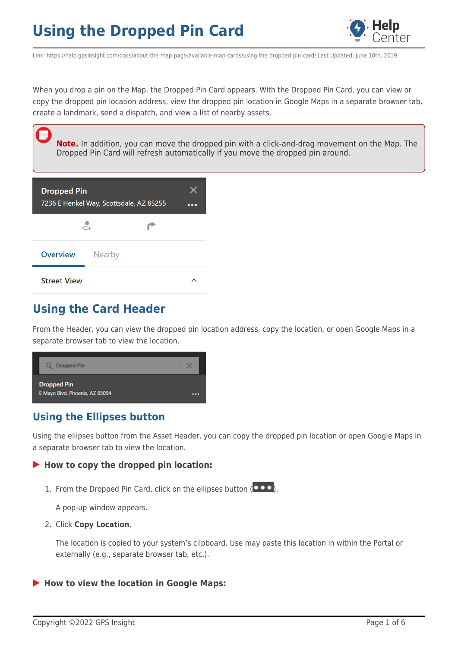

Link: https://help.gpsinsight.com/docs/about-the-map-page/available-map-cards/using-the-dropped-pin-card/ Last Updated: June 10th, 2019

When you drop a pin on the Map, the Dropped Pin Card appears. With the Dropped Pin Card, you can view or copy the dropped pin location address, view the dropped pin location in Google Maps in a separate browser tab, create a landmark, send a dispatch, and view a list of nearby assets.

**Note.** In addition, you can move the dropped pin with a click-and-drag movement on the Map. The Dropped Pin Card will refresh automatically if you move the dropped pin around.

| <b>Dropped Pin</b> | 7236 E Henkel Way, Scottsdale, AZ 85255 |  |
|--------------------|-----------------------------------------|--|
|                    | سآلے                                    |  |
| <b>Overview</b>    | Nearby                                  |  |
| <b>Street View</b> |                                         |  |

## **Using the Card Header**

耳

From the Header, you can view the dropped pin location address, copy the location, or open Google Maps in a separate browser tab to view the location.



### **Using the Ellipses button**

Using the ellipses button from the Asset Header, you can copy the dropped pin location or open Google Maps in a separate browser tab to view the location.

#### **How to copy the dropped pin location:**

1. From the Dropped Pin Card, click on the ellipses button  $($ 

A pop-up window appears.

2. Click **Copy Location**.

The location is copied to your system's clipboard. Use may paste this location in within the Portal or externally (e.g., separate browser tab, etc.).

**How to view the location in Google Maps:**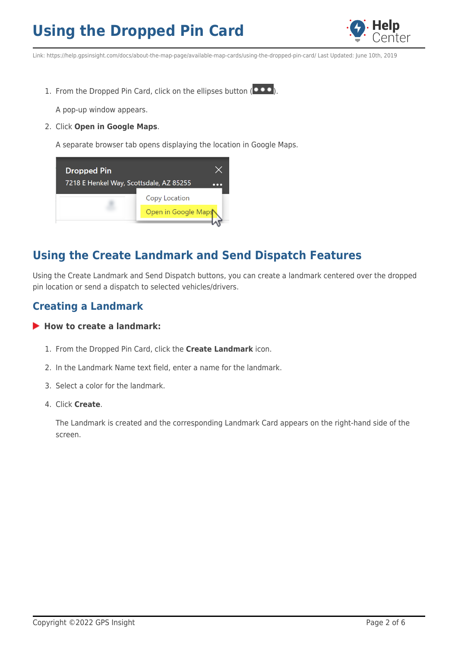

Link: https://help.gpsinsight.com/docs/about-the-map-page/available-map-cards/using-the-dropped-pin-card/ Last Updated: June 10th, 2019

1. From the Dropped Pin Card, click on the ellipses button  $($   $\bullet \bullet \bullet)$ .

A pop-up window appears.

2. Click **Open in Google Maps**.

A separate browser tab opens displaying the location in Google Maps.



## **Using the Create Landmark and Send Dispatch Features**

Using the Create Landmark and Send Dispatch buttons, you can create a landmark centered over the dropped pin location or send a dispatch to selected vehicles/drivers.

### **Creating a Landmark**

#### **How to create a landmark:**

- 1. From the Dropped Pin Card, click the **Create Landmark** icon.
- 2. In the Landmark Name text field, enter a name for the landmark.
- 3. Select a color for the landmark.
- 4. Click **Create**.

The Landmark is created and the corresponding Landmark Card appears on the right-hand side of the screen.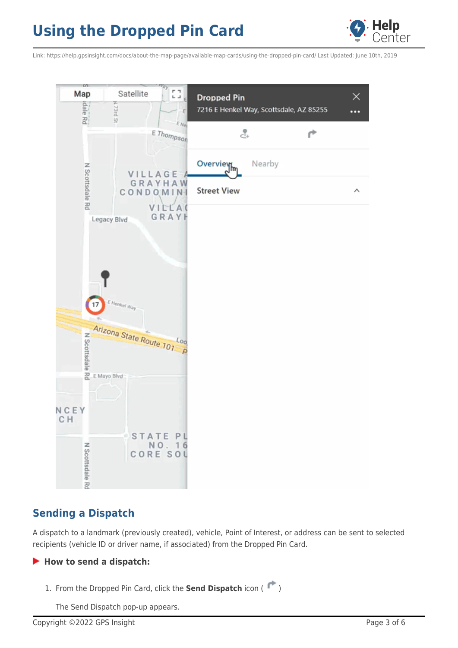

Link: https://help.gpsinsight.com/docs/about-the-map-page/available-map-cards/using-the-dropped-pin-card/ Last Updated: June 10th, 2019



### **Sending a Dispatch**

A dispatch to a landmark (previously created), vehicle, Point of Interest, or address can be sent to selected recipients (vehicle ID or driver name, if associated) from the Dropped Pin Card.

#### **How to send a dispatch:**

1. From the Dropped Pin Card, click the **Send Dispatch** icon ( $\uparrow$ )

The Send Dispatch pop-up appears.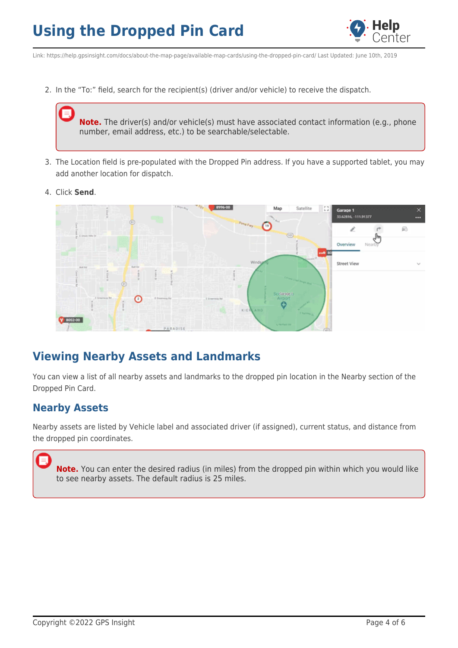

Link: https://help.gpsinsight.com/docs/about-the-map-page/available-map-cards/using-the-dropped-pin-card/ Last Updated: June 10th, 2019

2. In the "To:" field, search for the recipient(s) (driver and/or vehicle) to receive the dispatch.

**Note.** The driver(s) and/or vehicle(s) must have associated contact information (e.g., phone number, email address, etc.) to be searchable/selectable.

- 3. The Location field is pre-populated with the Dropped Pin address. If you have a supported tablet, you may add another location for dispatch.
- 4. Click **Send**.



### **Viewing Nearby Assets and Landmarks**

You can view a list of all nearby assets and landmarks to the dropped pin location in the Nearby section of the Dropped Pin Card.

### **Nearby Assets**

Nearby assets are listed by Vehicle label and associated driver (if assigned), current status, and distance from the dropped pin coordinates.

**Note.** You can enter the desired radius (in miles) from the dropped pin within which you would like to see nearby assets. The default radius is 25 miles.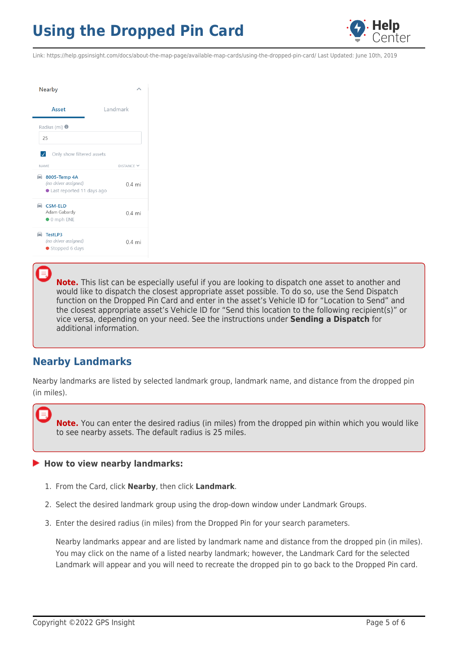

Link: https://help.gpsinsight.com/docs/about-the-map-page/available-map-cards/using-the-dropped-pin-card/ Last Updated: June 10th, 2019

| Nearby                                                              |                 |
|---------------------------------------------------------------------|-----------------|
| Asset                                                               | Landmark        |
| Radius (mi) $\bullet$                                               |                 |
| 25                                                                  |                 |
| $\overline{\mathcal{A}}$<br>Only show filtered assets               |                 |
| <b>NAME</b>                                                         | DISTANCE Y      |
| ■ 8005-Temp 4A<br>(no driver assigned)<br>Last reported 11 days ago | $04 \text{ mi}$ |
| $\triangle$ CSM-ELD<br>Adam Gabardy<br>$\bullet$ 0 mph ENE          | $04 \text{ mi}$ |
| <b>E</b> TestLP3<br>(no driver assigned)<br>● Stopped 6 days        | $0.4$ mi        |

**Note.** This list can be especially useful if you are looking to dispatch one asset to another and would like to dispatch the closest appropriate asset possible. To do so, use the Send Dispatch function on the Dropped Pin Card and enter in the asset's Vehicle ID for "Location to Send" and the closest appropriate asset's Vehicle ID for "Send this location to the following recipient(s)" or vice versa, depending on your need. See the instructions under **Sending a Dispatch** for additional information.

### **Nearby Landmarks**

Nearby landmarks are listed by selected landmark group, landmark name, and distance from the dropped pin (in miles).

**Note.** You can enter the desired radius (in miles) from the dropped pin within which you would like to see nearby assets. The default radius is 25 miles.

#### **How to view nearby landmarks:**

- 1. From the Card, click **Nearby**, then click **Landmark**.
- 2. Select the desired landmark group using the drop-down window under Landmark Groups.
- 3. Enter the desired radius (in miles) from the Dropped Pin for your search parameters.

Nearby landmarks appear and are listed by landmark name and distance from the dropped pin (in miles). You may click on the name of a listed nearby landmark; however, the Landmark Card for the selected Landmark will appear and you will need to recreate the dropped pin to go back to the Dropped Pin card.